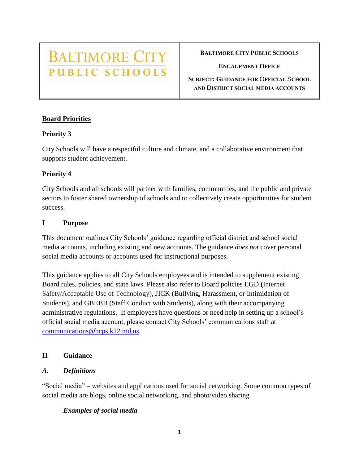# **BALTIMORE CITY**<br>PUBLIC SCHOOLS

#### **BALTIMORE CITY PUBLIC SCHOOLS**

**ENGAGEMENT OFFICE**

**SUBJECT: GUIDANCE FOR** O**FFICIAL** S**CHOOL AND** D**ISTRICT SOCIAL MEDIA ACCOUNTS**

# **Board Priorities**

# **Priority 3**

City Schools will have a respectful culture and climate, and a collaborative environment that supports student achievement.

## **Priority 4**

City Schools and all schools will partner with families, communities, and the public and private sectors to foster shared ownership of schools and to collectively create opportunities for student success.

## **I Purpose**

This document outlines City Schools' guidance regarding official district and school social media accounts, including existing and new accounts. The guidance *does not* cover personal social media accounts or accounts used for instructional purposes.

This guidance applies to all City Schools employees and is intended to supplement existing Board rules, policies, and state laws. Please also refer to Board policies EGD **(**Internet Safety/Acceptable Use of Technology), JICK (Bullying, Harassment, or Intimidation of Students), and GBEBB (Staff Conduct with Students), along with their accompanying administrative regulations. If employees have questions or need help in setting up a school's official social media account, please contact City Schools' communications staff at [communications@bcps.k12.md.us.](mailto:communications@bcps.k12.md.us)

## **II Guidance**

## *A. Definitions*

"Social media" – websites and applications used for social networking. Some common types of social media are blogs, online social networking, and photo/video sharing

# *Examples of social media*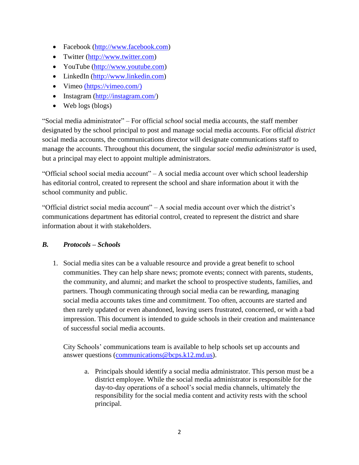- Facebook [\(http://www.facebook.com\)](http://www.facebook.com/)
- Twitter [\(http://www.twitter.com\)](http://www.twitter.com/)
- YouTube [\(http://www.youtube.com\)](http://www.youtube.com/)
- LinkedIn [\(http://www.linkedin.com\)](http://www.linkedin.com/)
- Vimeo [\(https://vimeo.com/\)](file://hqfs15/legal/PMMuhammad/Policy%20Drafts/Social%20Media%20Guidance/(https:/vimeo.com/))
- Instagram [\(http://instagram.com/\)](http://instagram.com/)
- Web logs (blogs)

"Social media administrator" – For official *school* social media accounts, the staff member designated by the school principal to post and manage social media accounts. For official *district* social media accounts, the communications director will designate communications staff to manage the accounts. Throughout this document, the singular *social media administrator* is used, but a principal may elect to appoint multiple administrators.

"Official school social media account" – A social media account over which school leadership has editorial control, created to represent the school and share information about it with the school community and public.

"Official district social media account" – A social media account over which the district's communications department has editorial control, created to represent the district and share information about it with stakeholders.

## *B. Protocols – Schools*

1. Social media sites can be a valuable resource and provide a great benefit to school communities. They can help share news; promote events; connect with parents, students, the community, and alumni; and market the school to prospective students, families, and partners. Though communicating through social media can be rewarding, managing social media accounts takes time and commitment. Too often, accounts are started and then rarely updated or even abandoned, leaving users frustrated, concerned, or with a bad impression. This document is intended to guide schools in their creation and maintenance of successful social media accounts.

City Schools' communications team is available to help schools set up accounts and answer questions [\(communications@bcps.k12.md.us\)](mailto:communications@bcps.k12.md.us).

a. Principals should identify a social media administrator. This person must be a district employee. While the social media administrator is responsible for the day-to-day operations of a school's social media channels, ultimately the responsibility for the social media content and activity rests with the school principal.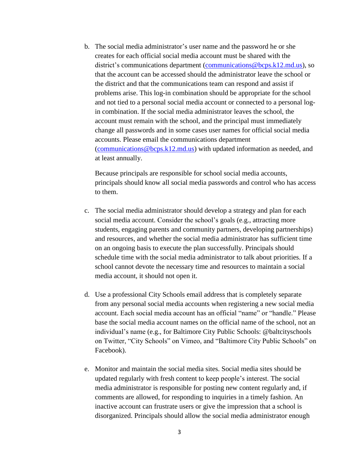b. The social media administrator's user name and the password he or she creates for each official social media account must be shared with the district's communications department [\(communications@bcps.k12.md.us\)](mailto:communications@bcps.k12.md.us), so that the account can be accessed should the administrator leave the school or the district and that the communications team can respond and assist if problems arise. This log-in combination should be appropriate for the school and not tied to a personal social media account or connected to a personal login combination. If the social media administrator leaves the school, the account must remain with the school, and the principal must immediately change all passwords and in some cases user names for official social media accounts. Please email the communications department [\(communications@bcps.k12.md.us\)](mailto:communications@bcps.k12.md.us) with updated information as needed, and at least annually.

Because principals are responsible for school social media accounts, principals should know all social media passwords and control who has access to them.

- c. The social media administrator should develop a strategy and plan for each social media account. Consider the school's goals (e.g., attracting more students, engaging parents and community partners, developing partnerships) and resources, and whether the social media administrator has sufficient time on an ongoing basis to execute the plan successfully. Principals should schedule time with the social media administrator to talk about priorities. If a school cannot devote the necessary time and resources to maintain a social media account, it should not open it.
- d. Use a professional City Schools email address that is completely separate from any personal social media accounts when registering a new social media account. Each social media account has an official "name" or "handle." Please base the social media account names on the official name of the school, not an individual's name (e.g., for Baltimore City Public Schools: @baltcityschools on Twitter, "City Schools" on Vimeo, and "Baltimore City Public Schools" on Facebook).
- e. Monitor and maintain the social media sites. Social media sites should be updated regularly with fresh content to keep people's interest. The social media administrator is responsible for posting new content regularly and, if comments are allowed, for responding to inquiries in a timely fashion. An inactive account can frustrate users or give the impression that a school is disorganized. Principals should allow the social media administrator enough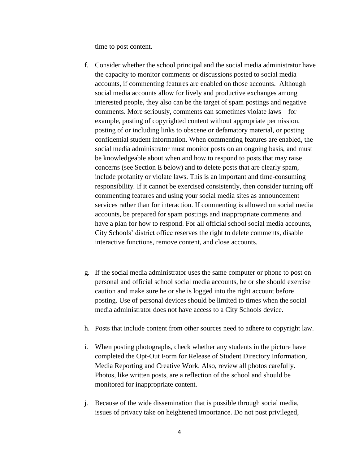time to post content.

- f. Consider whether the school principal and the social media administrator have the capacity to monitor comments or discussions posted to social media accounts, if commenting features are enabled on those accounts. Although social media accounts allow for lively and productive exchanges among interested people, they also can be the target of spam postings and negative comments. More seriously, comments can sometimes violate laws – for example, posting of copyrighted content without appropriate permission, posting of or including links to obscene or defamatory material, or posting confidential student information. When commenting features are enabled, the social media administrator must monitor posts on an ongoing basis, and must be knowledgeable about when and how to respond to posts that may raise concerns (see Section E below) and to delete posts that are clearly spam, include profanity or violate laws. This is an important and time-consuming responsibility. If it cannot be exercised consistently, then consider turning off commenting features and using your social media sites as announcement services rather than for interaction. If commenting is allowed on social media accounts, be prepared for spam postings and inappropriate comments and have a plan for how to respond. For all official school social media accounts, City Schools' district office reserves the right to delete comments, disable interactive functions, remove content, and close accounts.
- g. If the social media administrator uses the same computer or phone to post on personal and official school social media accounts, he or she should exercise caution and make sure he or she is logged into the right account before posting. Use of personal devices should be limited to times when the social media administrator does not have access to a City Schools device.
- h. Posts that include content from other sources need to adhere to copyright law.
- i. When posting photographs, check whether any students in the picture have completed the Opt-Out Form for Release of Student Directory Information, Media Reporting and Creative Work. Also, review all photos carefully. Photos, like written posts, are a reflection of the school and should be monitored for inappropriate content.
- j. Because of the wide dissemination that is possible through social media, issues of privacy take on heightened importance. Do not post privileged,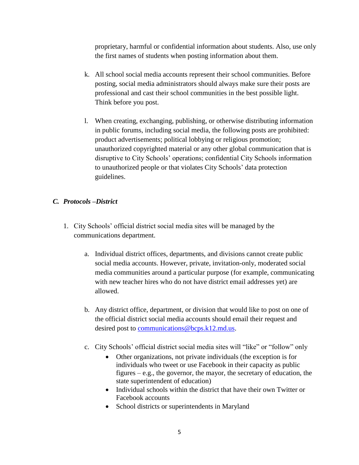proprietary, harmful or confidential information about students. Also, use only the first names of students when posting information about them.

- k. All school social media accounts represent their school communities. Before posting, social media administrators should always make sure their posts are professional and cast their school communities in the best possible light. Think before you post.
- l. When creating, exchanging, publishing, or otherwise distributing information in public forums, including social media, the following posts are prohibited: product advertisements; political lobbying or religious promotion; unauthorized copyrighted material or any other global communication that is disruptive to City Schools' operations; confidential City Schools information to unauthorized people or that violates City Schools' data protection guidelines.

#### *C. Protocols –District*

- 1. City Schools' official district social media sites will be managed by the communications department.
	- a. Individual district offices, departments, and divisions cannot create public social media accounts. However, private, invitation-only, moderated social media communities around a particular purpose (for example, communicating with new teacher hires who do not have district email addresses yet) are allowed.
	- b. Any district office, department, or division that would like to post on one of the official district social media accounts should email their request and desired post to [communications@bcps.k12.md.us.](mailto:communications@bcps.k12.md.us)
	- c. City Schools' official district social media sites will "like" or "follow" only
		- Other organizations, not private individuals (the exception is for individuals who tweet or use Facebook in their capacity as public figures – e.g., the governor, the mayor, the secretary of education, the state superintendent of education)
		- Individual schools within the district that have their own Twitter or Facebook accounts
		- School districts or superintendents in Maryland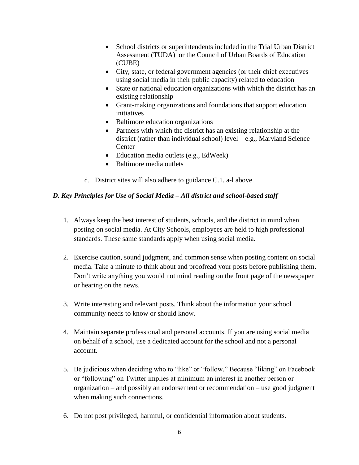- School districts or superintendents included in the Trial Urban District Assessment (TUDA) or the Council of Urban Boards of Education (CUBE)
- City, state, or federal government agencies (or their chief executives using social media in their public capacity) related to education
- State or national education organizations with which the district has an existing relationship
- Grant-making organizations and foundations that support education initiatives
- Baltimore education organizations
- Partners with which the district has an existing relationship at the district (rather than individual school) level – e.g., Maryland Science **Center**
- Education media outlets (e.g., EdWeek)
- Baltimore media outlets
- d. District sites will also adhere to guidance C.1. a-l above.

#### *D. Key Principles for Use of Social Media – All district and school-based staff*

- 1. Always keep the best interest of students, schools, and the district in mind when posting on social media. At City Schools, employees are held to high professional standards. These same standards apply when using social media.
- 2. Exercise caution, sound judgment, and common sense when posting content on social media. Take a minute to think about and proofread your posts before publishing them. Don't write anything you would not mind reading on the front page of the newspaper or hearing on the news.
- 3. Write interesting and relevant posts. Think about the information your school community needs to know or should know.
- 4. Maintain separate professional and personal accounts. If you are using social media on behalf of a school, use a dedicated account for the school and not a personal account.
- 5. Be judicious when deciding who to "like" or "follow." Because "liking" on Facebook or "following" on Twitter implies at minimum an interest in another person or organization – and possibly an endorsement or recommendation – use good judgment when making such connections.
- 6. Do not post privileged, harmful, or confidential information about students.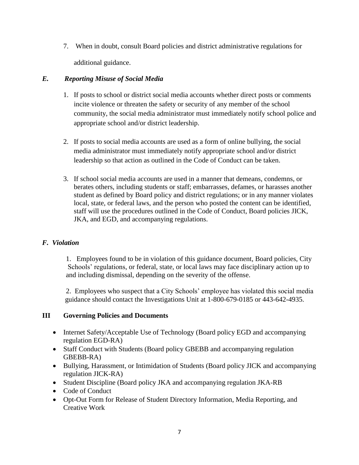7. When in doubt, consult Board policies and district administrative regulations for additional guidance.

#### *E. Reporting Misuse of Social Media*

- 1. If posts to school or district social media accounts whether direct posts or comments incite violence or threaten the safety or security of any member of the school community, the social media administrator must immediately notify school police and appropriate school and/or district leadership.
- 2. If posts to social media accounts are used as a form of online bullying, the social media administrator must immediately notify appropriate school and/or district leadership so that action as outlined in the Code of Conduct can be taken.
- 3. If school social media accounts are used in a manner that demeans, condemns, or berates others, including students or staff; embarrasses, defames, or harasses another student as defined by Board policy and district regulations; or in any manner violates local, state, or federal laws, and the person who posted the content can be identified, staff will use the procedures outlined in the Code of Conduct, Board policies JICK, JKA, and EGD, and accompanying regulations.

## *F. Violation*

1. Employees found to be in violation of this guidance document, Board policies, City Schools' regulations, or federal, state, or local laws may face disciplinary action up to and including dismissal, depending on the severity of the offense.

2. Employees who suspect that a City Schools' employee has violated this social media guidance should contact the Investigations Unit at 1-800-679-0185 or 443-642-4935.

#### **III Governing Policies and Documents**

- Internet Safety/Acceptable Use of Technology (Board policy EGD and accompanying regulation EGD-RA)
- Staff Conduct with Students (Board policy GBEBB and accompanying regulation GBEBB-RA)
- Bullying, Harassment, or Intimidation of Students (Board policy JICK and accompanying regulation JICK-RA)
- Student Discipline (Board policy JKA and accompanying regulation JKA-RB
- Code of Conduct
- Opt-Out Form for Release of Student Directory Information, Media Reporting, and Creative Work